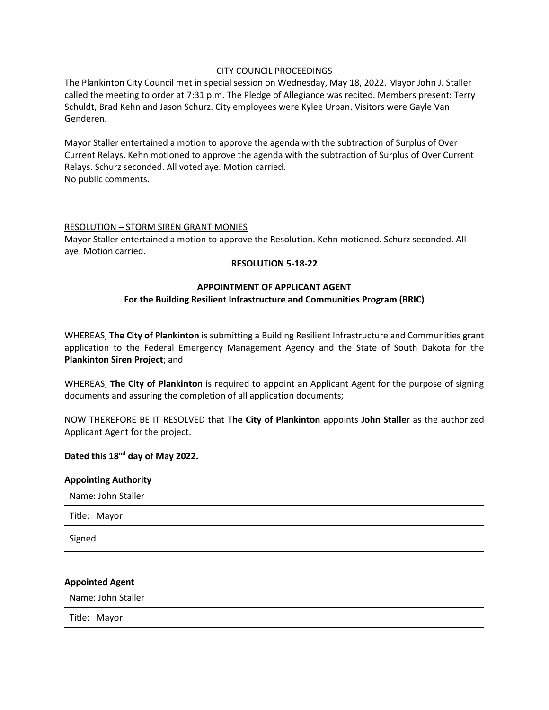## CITY COUNCIL PROCEEDINGS

The Plankinton City Council met in special session on Wednesday, May 18, 2022. Mayor John J. Staller called the meeting to order at 7:31 p.m. The Pledge of Allegiance was recited. Members present: Terry Schuldt, Brad Kehn and Jason Schurz. City employees were Kylee Urban. Visitors were Gayle Van Genderen.

Mayor Staller entertained a motion to approve the agenda with the subtraction of Surplus of Over Current Relays. Kehn motioned to approve the agenda with the subtraction of Surplus of Over Current Relays. Schurz seconded. All voted aye. Motion carried. No public comments.

#### RESOLUTION – STORM SIREN GRANT MONIES

Mayor Staller entertained a motion to approve the Resolution. Kehn motioned. Schurz seconded. All aye. Motion carried.

#### **RESOLUTION 5-18-22**

### **APPOINTMENT OF APPLICANT AGENT**

## **For the Building Resilient Infrastructure and Communities Program (BRIC)**

WHEREAS, **The City of Plankinton** is submitting a Building Resilient Infrastructure and Communities grant application to the Federal Emergency Management Agency and the State of South Dakota for the **Plankinton Siren Project**; and

WHEREAS, **The City of Plankinton** is required to appoint an Applicant Agent for the purpose of signing documents and assuring the completion of all application documents;

NOW THEREFORE BE IT RESOLVED that **The City of Plankinton** appoints **John Staller** as the authorized Applicant Agent for the project.

## **Dated this 18nd day of May 2022.**

### **Appointing Authority**

Name: John Staller

Title: Mayor

Signed

#### **Appointed Agent**

Name: John Staller

Title: Mayor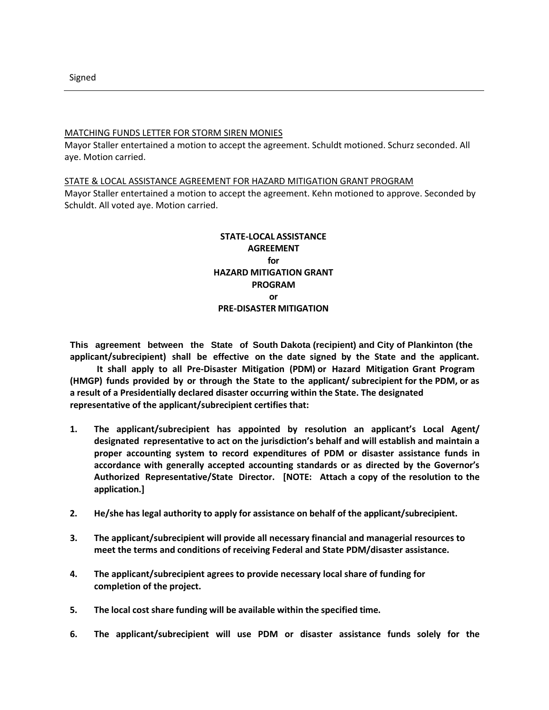Signed

### MATCHING FUNDS LETTER FOR STORM SIREN MONIES

Mayor Staller entertained a motion to accept the agreement. Schuldt motioned. Schurz seconded. All aye. Motion carried.

#### STATE & LOCAL ASSISTANCE AGREEMENT FOR HAZARD MITIGATION GRANT PROGRAM

Mayor Staller entertained a motion to accept the agreement. Kehn motioned to approve. Seconded by Schuldt. All voted aye. Motion carried.

# **STATE-LOCAL ASSISTANCE AGREEMENT for HAZARD MITIGATION GRANT PROGRAM or PRE-DISASTER MITIGATION**

**This agreement between the State of South Dakota (recipient) and City of Plankinton (the applicant/subrecipient) shall be effective on the date signed by the State and the applicant.**

**It shall apply to all Pre-Disaster Mitigation (PDM) or Hazard Mitigation Grant Program (HMGP) funds provided by or through the State to the applicant/ subrecipient for the PDM, or as a result of a Presidentially declared disaster occurring within the State. The designated representative of the applicant/subrecipient certifies that:**

- **1. The applicant/subrecipient has appointed by resolution an applicant's Local Agent/ designated representative to act on the jurisdiction's behalf and will establish and maintain a proper accounting system to record expenditures of PDM or disaster assistance funds in accordance with generally accepted accounting standards or as directed by the Governor's Authorized Representative/State Director. [NOTE: Attach a copy of the resolution to the application.]**
- **2. He/she has legal authority to apply for assistance on behalf of the applicant/subrecipient.**
- **3. The applicant/subrecipient will provide all necessary financial and managerial resources to meet the terms and conditions of receiving Federal and State PDM/disaster assistance.**
- **4. The applicant/subrecipient agrees to provide necessary local share of funding for completion of the project.**
- **5. The local cost share funding will be available within the specified time.**
- **6. The applicant/subrecipient will use PDM or disaster assistance funds solely for the**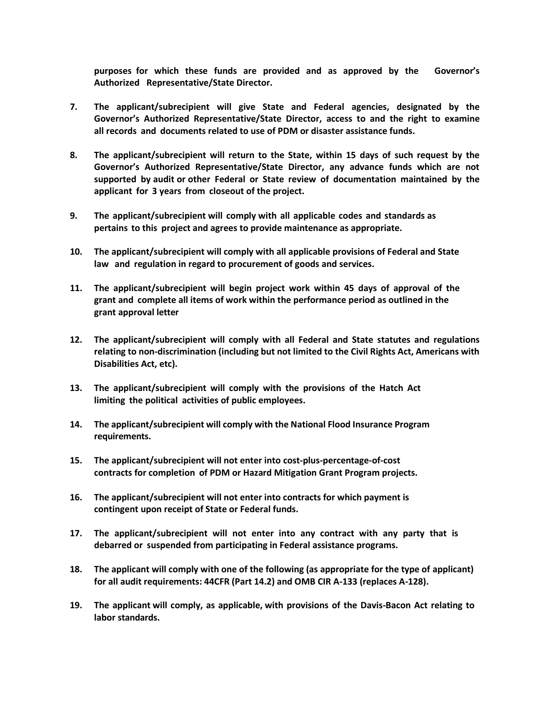**purposes for which these funds are provided and as approved by the Governor's Authorized Representative/State Director.**

- **7. The applicant/subrecipient will give State and Federal agencies, designated by the Governor's Authorized Representative/State Director, access to and the right to examine all records and documents related to use of PDM or disaster assistance funds.**
- **8. The applicant/subrecipient will return to the State, within 15 days of such request by the Governor's Authorized Representative/State Director, any advance funds which are not supported by audit or other Federal or State review of documentation maintained by the applicant for 3 years from closeout of the project.**
- **9. The applicant/subrecipient will comply with all applicable codes and standards as pertains to this project and agrees to provide maintenance as appropriate.**
- **10. The applicant/subrecipient will comply with all applicable provisions of Federal and State law and regulation in regard to procurement of goods and services.**
- **11. The applicant/subrecipient will begin project work within 45 days of approval of the grant and complete all items of work within the performance period as outlined in the grant approval letter**
- **12. The applicant/subrecipient will comply with all Federal and State statutes and regulations relating to non-discrimination (including but not limited to the Civil Rights Act, Americans with Disabilities Act, etc).**
- **13. The applicant/subrecipient will comply with the provisions of the Hatch Act limiting the political activities of public employees.**
- **14. The applicant/subrecipient will comply with the National Flood Insurance Program requirements.**
- **15. The applicant/subrecipient will not enter into cost-plus-percentage-of-cost contracts for completion of PDM or Hazard Mitigation Grant Program projects.**
- **16. The applicant/subrecipient will not enter into contracts for which payment is contingent upon receipt of State or Federal funds.**
- **17. The applicant/subrecipient will not enter into any contract with any party that is debarred or suspended from participating in Federal assistance programs.**
- **18. The applicant will comply with one of the following (as appropriate for the type of applicant) for all audit requirements: 44CFR (Part 14.2) and OMB CIR A-133 (replaces A-128).**
- **19. The applicant will comply, as applicable, with provisions of the Davis-Bacon Act relating to labor standards.**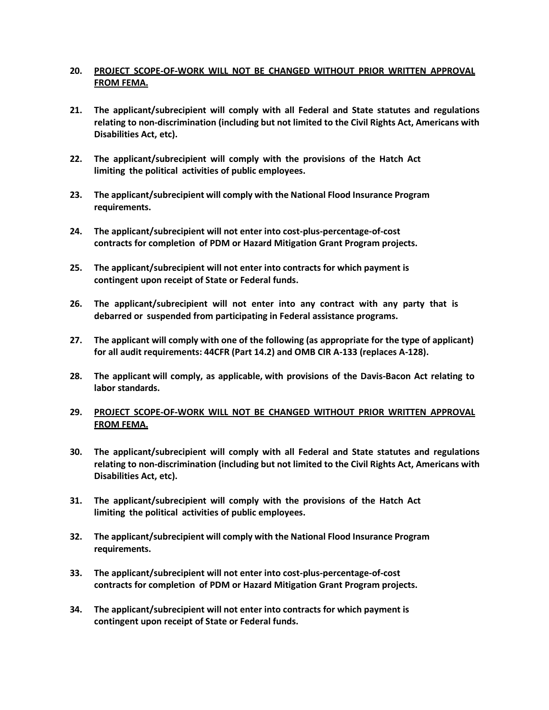## **20. PROJECT SCOPE-OF-WORK WILL NOT BE CHANGED WITHOUT PRIOR WRITTEN APPROVAL FROM FEMA.**

- **21. The applicant/subrecipient will comply with all Federal and State statutes and regulations relating to non-discrimination (including but not limited to the Civil Rights Act, Americans with Disabilities Act, etc).**
- **22. The applicant/subrecipient will comply with the provisions of the Hatch Act limiting the political activities of public employees.**
- **23. The applicant/subrecipient will comply with the National Flood Insurance Program requirements.**
- **24. The applicant/subrecipient will not enter into cost-plus-percentage-of-cost contracts for completion of PDM or Hazard Mitigation Grant Program projects.**
- **25. The applicant/subrecipient will not enter into contracts for which payment is contingent upon receipt of State or Federal funds.**
- **26. The applicant/subrecipient will not enter into any contract with any party that is debarred or suspended from participating in Federal assistance programs.**
- **27. The applicant will comply with one of the following (as appropriate for the type of applicant) for all audit requirements: 44CFR (Part 14.2) and OMB CIR A-133 (replaces A-128).**
- **28. The applicant will comply, as applicable, with provisions of the Davis-Bacon Act relating to labor standards.**

## **29. PROJECT SCOPE-OF-WORK WILL NOT BE CHANGED WITHOUT PRIOR WRITTEN APPROVAL FROM FEMA.**

- **30. The applicant/subrecipient will comply with all Federal and State statutes and regulations relating to non-discrimination (including but not limited to the Civil Rights Act, Americans with Disabilities Act, etc).**
- **31. The applicant/subrecipient will comply with the provisions of the Hatch Act limiting the political activities of public employees.**
- **32. The applicant/subrecipient will comply with the National Flood Insurance Program requirements.**
- **33. The applicant/subrecipient will not enter into cost-plus-percentage-of-cost contracts for completion of PDM or Hazard Mitigation Grant Program projects.**
- **34. The applicant/subrecipient will not enter into contracts for which payment is contingent upon receipt of State or Federal funds.**